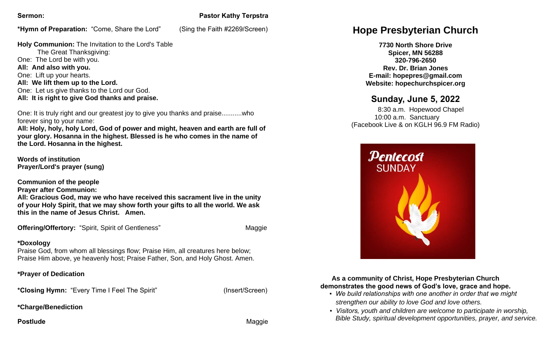**\*Hymn of Preparation:** "Come, Share the Lord" (Sing the Faith #2269/Screen)

# **Sermon:** Pastor Kathy Terpstra

**Holy Communion:** The Invitation to the Lord's Table The Great Thanksgiving: One: The Lord be with you. **All: And also with you.** One: Lift up your hearts. **All: We lift them up to the Lord.** One: Let us give thanks to the Lord our God. **All: It is right to give God thanks and praise.**

One: It is truly right and our greatest joy to give you thanks and praise...........who forever sing to your name:

**All: Holy, holy, holy Lord, God of power and might, heaven and earth are full of your glory. Hosanna in the highest. Blessed is he who comes in the name of the Lord. Hosanna in the highest.**

**Words of institution Prayer/Lord's prayer (sung)**

**Communion of the people**

**Prayer after Communion:**

**All: Gracious God, may we who have received this sacrament live in the unity of your Holy Spirit, that we may show forth your gifts to all the world. We ask this in the name of Jesus Christ. Amen.** 

**Offering/Offertory:** "Spirit, Spirit of Gentleness"Maggie

### **\*Doxology**

Praise God, from whom all blessings flow; Praise Him, all creatures here below; Praise Him above, ye heavenly host; Praise Father, Son, and Holy Ghost. Amen.

### **\*Prayer of Dedication**

**\*Closing Hymn:** "Every Time I Feel The Spirit" (Insert/Screen)

**\*Charge/Benediction**

**Postlude Maggie According to the Contract of the Contract of Contract According Maggie** 

# **Hope Presbyterian Church**

**7730 North Shore Drive Spicer, MN 56288 320-796-2650 Rev. Dr. Brian Jones E-mail: hopepres@gmail.com Website: hopechurchspicer.org**

# **Sunday, June 5, 2022**

 8:30 a.m. Hopewood Chapel 10:00 a.m. Sanctuary (Facebook Live & on KGLH 96.9 FM Radio)



#### **As a community of Christ, Hope Presbyterian Church demonstrates the good news of God's love, grace and hope.**

- *We build relationships with one another in order that we might strengthen our ability to love God and love others.*
- *Visitors, youth and children are welcome to participate in worship, Bible Study, spiritual development opportunities, prayer, and service.*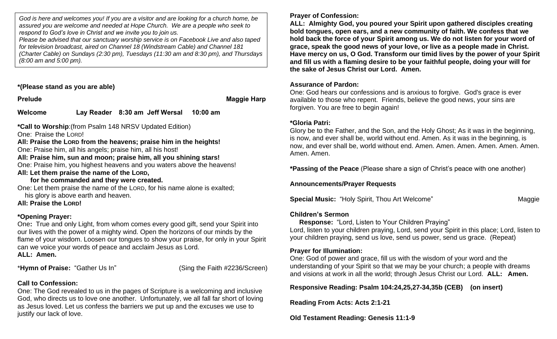*God is here and welcomes you! If you are a visitor and are looking for a church home, be assured you are welcome and needed at Hope Church. We are a people who seek to respond to God's love in Christ and we invite you to join us.*

*Please be advised that our sanctuary worship service is on Facebook Live and also taped for television broadcast, aired on Channel 18 (Windstream Cable) and Channel 181 (Charter Cable) on Sundays (2:30 pm), Tuesdays (11:30 am and 8:30 pm), and Thursdays (8:00 am and 5:00 pm).*

**\*(Please stand as you are able)**

**Prelude Maggie Harp** 

**Welcome Lay Reader 8:30 am Jeff Wersal 10:00 am** 

**\*Call to Worship**:(from Psalm 148 NRSV Updated Edition)

One: Praise the LORD!

**All: Praise the LORD from the heavens; praise him in the heights!**

One: Praise him, all his angels; praise him, all his host!

**All: Praise him, sun and moon; praise him, all you shining stars!**

One: Praise him, you highest heavens and you waters above the heavens! **All: Let them praise the name of the LORD,**

## **for he commanded and they were created.**

One: Let them praise the name of the LORD, for his name alone is exalted; his glory is above earth and heaven.

**All: Praise the LORD!**

# **\*Opening Prayer:**

One**:** True and only Light, from whom comes every good gift, send your Spirit into our lives with the power of a mighty wind. Open the horizons of our minds by the flame of your wisdom. Loosen our tongues to show your praise, for only in your Spirit can we voice your words of peace and acclaim Jesus as Lord. **ALL: Amen.**

\***Hymn of Praise:** "Gather Us In" (Sing the Faith #2236/Screen)

# **Call to Confession:**

One: The God revealed to us in the pages of Scripture is a welcoming and inclusive God, who directs us to love one another. Unfortunately, we all fall far short of loving as Jesus loved. Let us confess the barriers we put up and the excuses we use to justify our lack of love.

**Prayer of Confession:**

**ALL: Almighty God, you poured your Spirit upon gathered disciples creating bold tongues, open ears, and a new community of faith. We confess that we hold back the force of your Spirit among us. We do not listen for your word of grace, speak the good news of your love, or live as a people made in Christ. Have mercy on us, O God. Transform our timid lives by the power of your Spirit and fill us with a flaming desire to be your faithful people, doing your will for the sake of Jesus Christ our Lord. Amen.** 

## **Assurance of Pardon:**

One: God hears our confessions and is anxious to forgive. God's grace is ever available to those who repent. Friends, believe the good news, your sins are forgiven. You are free to begin again!

## **\*Gloria Patri:**

Glory be to the Father, and the Son, and the Holy Ghost; As it was in the beginning, is now, and ever shall be, world without end. Amen. As it was in the beginning, is now, and ever shall be, world without end. Amen. Amen. Amen. Amen. Amen. Amen. Amen. Amen.

**\*Passing of the Peace** (Please share a sign of Christ's peace with one another)

**Announcements/Prayer Requests**

**Special Music: "Holy Spirit, Thou Art Welcome" Maggie Maggie Maggie Maggie** 

# **Children's Sermon**

 **Response:** "Lord, Listen to Your Children Praying" Lord, listen to your children praying, Lord, send your Spirit in this place; Lord, listen to your children praying, send us love, send us power, send us grace. (Repeat)

# **Prayer for Illumination:**

One: God of power and grace, fill us with the wisdom of your word and the understanding of your Spirit so that we may be your church; a people with dreams and visions at work in all the world; through Jesus Christ our Lord. **ALL: Amen.**

**Responsive Reading: Psalm 104:24,25,27-34,35b (CEB) (on insert)**

**Reading From Acts: Acts 2:1-21** 

**Old Testament Reading: Genesis 11:1-9**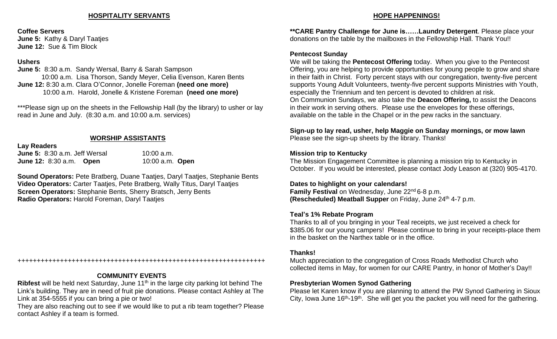#### **HOSPITALITY SERVANTS**

#### **Coffee Servers**

**June 5:** Kathy & Daryl Taatjes **June 12:** Sue & Tim Block

#### **Ushers**

**June 5:** 8:30 a.m. Sandy Wersal, Barry & Sarah Sampson 10:00 a.m. Lisa Thorson, Sandy Meyer, Celia Evenson, Karen Bents **June 12:** 8:30 a.m. Clara O'Connor, Jonelle Foreman **(need one more)** 10:00 a.m. Harold, Jonelle & Kristene Foreman **(need one more)**

\*\*\*Please sign up on the sheets in the Fellowship Hall (by the library) to usher or lay read in June and July. (8:30 a.m. and 10:00 a.m. services)

#### **WORSHIP ASSISTANTS**

**Lay Readers**

**June 5:** 8:30 a.m. Jeff Wersal 10:00 a.m. **June 12:** 8:30 a.m. **Open** 10:00 a.m. **Open**

**Sound Operators:** Pete Bratberg, Duane Taatjes, Daryl Taatjes, Stephanie Bents **Video Operators:** Carter Taatjes, Pete Bratberg, Wally Titus, Daryl Taatjes **Screen Operators:** Stephanie Bents, Sherry Bratsch, Jerry Bents **Radio Operators:** Harold Foreman, Daryl Taatjes

#### ++++++++++++++++++++++++++++++++++++++++++++++++++++++++++++++++

#### **COMMUNITY EVENTS**

**Ribfest** will be held next Saturday, June 11<sup>th</sup> in the large city parking lot behind The Link's building. They are in need of fruit pie donations. Please contact Ashley at The Link at 354-5555 if you can bring a pie or two!

They are also reaching out to see if we would like to put a rib team together? Please contact Ashley if a team is formed.

#### **HOPE HAPPENINGS!**

**\*\*CARE Pantry Challenge for June is……Laundry Detergent**. Please place your donations on the table by the mailboxes in the Fellowship Hall. Thank You!!

#### **Pentecost Sunday**

We will be taking the **Pentecost Offering** today. When you give to the Pentecost Offering, you are helping to provide opportunities for young people to grow and share in their faith in Christ. Forty percent stays with our congregation, twenty-five percent supports Young Adult Volunteers, twenty-five percent supports Ministries with Youth, especially the Triennium and ten percent is devoted to children at risk. On Communion Sundays, we also take the **Deacon Offering,** to assist the Deacons in their work in serving others. Please use the envelopes for these offerings, available on the table in the Chapel or in the pew racks in the sanctuary.

# **Sign-up to lay read, usher, help Maggie on Sunday mornings, or mow lawn**

Please see the sign-up sheets by the library. Thanks!

#### **Mission trip to Kentucky**

The Mission Engagement Committee is planning a mission trip to Kentucky in October. If you would be interested, please contact Jody Leason at (320) 905-4170.

#### **Dates to highlight on your calendars!**

**Family Festival** on Wednesday, June 22<sup>nd</sup> 6-8 p.m. **(Rescheduled) Meatball Supper** on Friday, June 24<sup>th</sup> 4-7 p.m.

#### **Teal's 1% Rebate Program**

Thanks to all of you bringing in your Teal receipts, we just received a check for \$385.06 for our young campers! Please continue to bring in your receipts-place them in the basket on the Narthex table or in the office.

#### **Thanks!**

Much appreciation to the congregation of Cross Roads Methodist Church who collected items in May, for women for our CARE Pantry, in honor of Mother's Day!!

#### **Presbyterian Women Synod Gathering**

Please let Karen know if you are planning to attend the PW Synod Gathering in Sioux City, lowa June  $16<sup>th</sup> - 19<sup>th</sup>$ . She will get you the packet you will need for the gathering.